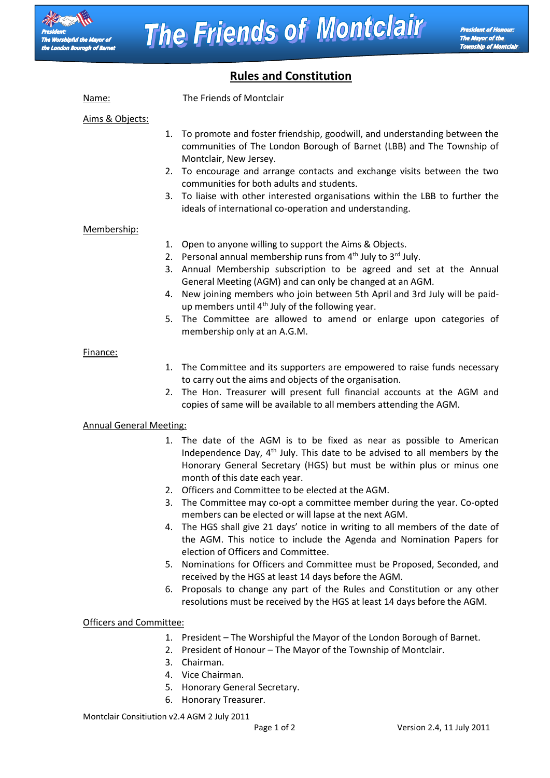

# **Rules and Constitution**

Name: The Friends of Montclair Aims & Objects: 1. To promote and foster friendship, goodwill, and understanding between the communities of The London Borough of Barnet (LBB) and The Township of Montclair, New Jersey. 2. To encourage and arrange contacts and exchange visits between the two communities for both adults and students. 3. To liaise with other interested organisations within the LBB to further the ideals of international co-operation and understanding. Membership: 1. Open to anyone willing to support the Aims & Objects. 2. Personal annual membership runs from  $4<sup>th</sup>$  July to  $3<sup>rd</sup>$  July. 3. Annual Membership subscription to be agreed and set at the Annual General Meeting (AGM) and can only be changed at an AGM. 4. New joining members who join between 5th April and 3rd July will be paidup members until  $4<sup>th</sup>$  July of the following year. 5. The Committee are allowed to amend or enlarge upon categories of membership only at an A.G.M. Finance: 1. The Committee and its supporters are empowered to raise funds necessary to carry out the aims and objects of the organisation. 2. The Hon. Treasurer will present full financial accounts at the AGM and copies of same will be available to all members attending the AGM. Annual General Meeting: 1. The date of the AGM is to be fixed as near as possible to American Independence Day,  $4<sup>th</sup>$  July. This date to be advised to all members by the Honorary General Secretary (HGS) but must be within plus or minus one month of this date each year. 2. Officers and Committee to be elected at the AGM. 3. The Committee may co-opt a committee member during the year. Co-opted members can be elected or will lapse at the next AGM. 4. The HGS shall give 21 days' notice in writing to all members of the date of the AGM. This notice to include the Agenda and Nomination Papers for election of Officers and Committee. 5. Nominations for Officers and Committee must be Proposed, Seconded, and received by the HGS at least 14 days before the AGM.

6. Proposals to change any part of the Rules and Constitution or any other resolutions must be received by the HGS at least 14 days before the AGM.

# Officers and Committee:

- 1. President The Worshipful the Mayor of the London Borough of Barnet.
- 2. President of Honour The Mayor of the Township of Montclair.
- 3. Chairman.
- 4. Vice Chairman.
- 5. Honorary General Secretary.
- 6. Honorary Treasurer.